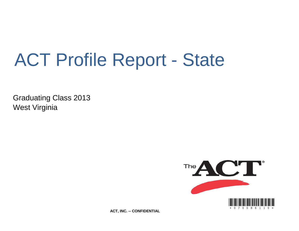# ACT Profile Report - State

Graduating Class 2013 West Virginia



**ACT, INC. -- CONFIDENTIAL**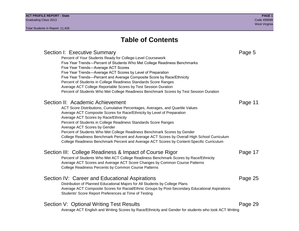## **Table of Contents**

## Section I: Executive Summary **Page 5** and the section I: Executive Summary Percent of Your Students Ready for College-Level Coursework Five Year Trends—Percent of Students Who Met College Readiness Benchmarks Five Year Trends—Average ACT Scores Five Year Trends—Average ACT Scores by Level of Preparation Five Year Trends—Percent and Average Composite Score by Race/Ethnicity Percent of Students in College Readiness Standards Score Ranges Average ACT College Reportable Scores by Test Session Duration Percent of Students Who Met College Readiness Benchmark Scores by Test Session Duration Section II: Academic Achievement **Page 11** Page 11 ACT Score Distributions, Cumulative Percentages, Averages, and Quartile Values Average ACT Composite Scores for Race/Ethnicity by Level of Preparation Average ACT Scores by Race/Ethnicity Percent of Students in College Readiness Standards Score Ranges Average ACT Scores by Gender Percent of Students Who Met College Readiness Benchmark Scores by Gender College Readiness Benchmark Percent and Average ACT Scores by Overall High School Curriculum College Readiness Benchmark Percent and Average ACT Scores by Content-Specific Curriculum Section III: College Readiness & Impact of Course Rigor Page 17 Percent of Students Who Met ACT College Readiness Benchmark Scores by Race/Ethnicity Average ACT Scores and Average ACT Score Changes by Common Course Patterns College Readiness Percents by Common Course Patterns Section IV: Career and Educational Aspirations **Page 25** Page 25 Distribution of Planned Educational Majors for All Students by College Plans Average ACT Composite Scores for Racial/Ethnic Groups by Post-Secondary Educational Aspirations Students' Score Report Preferences at Time of Testing Section V: Optional Writing Test Results **Page 29** Page 29 Average ACT English and Writing Scores by Race/Ethnicity and Gender for students who took ACT Writing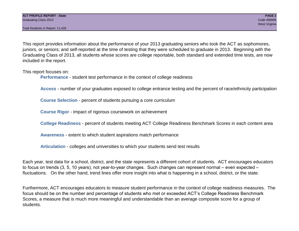Total Students in Report: 11,426

This report provides information about the performance of your 2013 graduating seniors who took the ACT as sophomores, juniors, or seniors; and self-reported at the time of testing that they were scheduled to graduate in 2013. Beginning with the Graduating Class of 2013, all students whose scores are college reportable, both standard and extended time tests, are now included in the report.

This report focuses on:

**Performance** - student test performance in the context of college readiness

**Access** - number of your graduates exposed to college entrance testing and the percent of race/ethnicity participation

**Course Selection** - percent of students pursuing a core curriculum

**Course Rigor** - impact of rigorous coursework on achievement

**College Readiness** - percent of students meeting ACT College Readiness Benchmark Scores in each content area

**Awareness** - extent to which student aspirations match performance

**Articulation** - colleges and universities to which your students send test results

Each year, test data for a school, district, and the state represents a different cohort of students. ACT encourages educators to focus on trends (3, 5, 10 years), not year-to-year changes. Such changes can represent normal – even expected – fluctuations. On the other hand, trend lines offer more insight into what is happening in a school, district, or the state.

Furthermore, ACT encourages educators to measure student performance in the context of college readiness measures. The focus should be on the number and percentage of students who met or exceeded ACT's College Readiness Benchmark Scores, a measure that is much more meaningful and understandable than an average composite score for a group of students.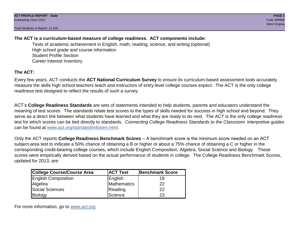Total Students in Report: 11,426

## **The ACT is a curriculum-based measure of college readiness. ACT components include:**

Tests of academic achievement in English, math, reading, science, and writing (optional) High school grade and course information Student Profile Section Career Interest Inventory

## **The ACT:**

Every few years, ACT conducts the **ACT National Curriculum Survey** to ensure its curriculum-based assessment tools accurately measure the skills high school teachers teach and instructors of entry-level college courses expect. The ACT is the only college readiness test designed to reflect the results of such a survey.

ACT's **College Readiness Standards** are sets of statements intended to help students, parents and educators understand the meaning of test scores. The standards relate test scores to the types of skills needed for success in high school and beyond. They serve as a direct link between what students have learned and what they are ready to do next. The ACT is the only college readiness test for which scores can be tied directly to standards. *Connecting College Readiness Standards to the Classroom* interpretive guides can be found at www.act.org/standard/infoserv.html.

Only the ACT reports **College Readiness Benchmark Scores** – A benchmark score is the minimum score needed on an ACT subject-area test to indicate a 50% chance of obtaining a B or higher or about a 75% chance of obtaining a C or higher in the corresponding credit-bearing college courses, which include English Composition, Algebra, Social Science and Biology. These scores were empirically derived based on the actual performance of students in college. The College Readiness Benchmark Scores, updated for 2013, are:

| College Course/Course Area | <b>ACT Test</b> | <b>Benchmark Score</b> |
|----------------------------|-----------------|------------------------|
| <b>English Composition</b> | English         | 18                     |
| Algebra                    | Mathematics     | 22                     |
| <b>Social Sciences</b>     | Reading         | 22                     |
| Biology                    | Science         | 23                     |

For more information, go to www.act.org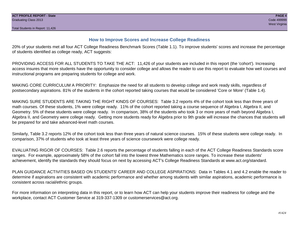## **How to Improve Scores and Increase College Readiness**

20% of your students met all four ACT College Readiness Benchmark Scores (Table 1.1). To improve students' scores and increase the percentage of students identified as college ready, ACT suggests:

PROVIDING ACCESS FOR ALL STUDENTS TO TAKE THE ACT: 11,426 of your students are included in this report (the 'cohort'). Increasing access insures that more students have the opportunity to consider college and allows the reader to use this report to evaluate how well courses and instructional programs are preparing students for college and work.

MAKING CORE CURRICULUM A PRIORITY: Emphasize the need for all students to develop college and work ready skills, regardless of postsecondary aspirations. 81% of the students in the cohort reported taking courses that would be considered 'Core or More' (Table 1.4).

MAKING SURE STUDENTS ARE TAKING THE RIGHT KINDS OF COURSES: Table 3.2 reports 4% of the cohort took less than three years of math courses. Of these students, 1% were college ready. 11% of the cohort reported taking a course sequence of Algebra I, Algebra II, and Geometry. 5% of these students were college ready. In comparison, 38% of the students who took 3 or more years of math beyond Algebra I, Algebra II, and Geometry were college ready. Getting more students ready for Algebra prior to 9th grade will increase the chances that students will be prepared for and take advanced-level math courses.

Similarly, Table 3.2 reports 12% of the cohort took less than three years of natural science courses. 15% of these students were college ready. In comparison, 37% of students who took at least three years of science coursework were college ready.

EVALUATING RIGOR OF COURSES: Table 2.6 reports the percentage of students falling in each of the ACT College Readiness Standards score ranges. For example, approximately 58% of the cohort fall into the lowest three Mathematics score ranges. To increase these students' achievement, identify the standards they should focus on next by accessing ACT's College Readiness Standards at www.act.org/standard.

PLAN GUIDANCE ACTIVITIES BASED ON STUDENTS' CAREER AND COLLEGE ASPIRATIONS: Data in Tables 4.1 and 4.2 enable the reader to determine if aspirations are consistent with academic performance and whether among students with similar aspirations, academic performance is consistent across racial/ethnic groups.

For more information on interpreting data in this report, or to learn how ACT can help your students improve their readiness for college and the workplace, contact ACT Customer Service at 319-337-1309 or customerservices@act.org.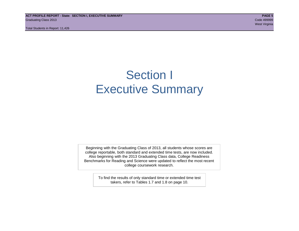**ACT PROFILE REPORT - State: SECTION I, EXECUTIVE SUMMARY PAGE 5** Graduating Class 2013 Code 499999

Total Students in Report: 11,426

## Section I Executive Summary

Beginning with the Graduating Class of 2013, all students whose scores are college reportable, both standard and extended time tests, are now included. Also beginning with the 2013 Graduating Class data, College Readiness Benchmarks for Reading and Science were updated to reflect the most recent college coursework research.

> To find the results of only standard time or extended time test takers, refer to Tables 1.7 and 1.8 on page 10.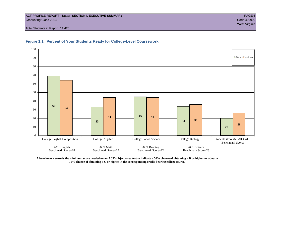## **ACT PROFILE REPORT - State: SECTION I, EXECUTIVE SUMMARY PAGE 6** Graduating Class 2013 Code 499999

Total Students in Report: 11,426





**A benchmark score is the minimum score needed on an ACT subject-area test to indicate a 50% chance of obtaining a B or higher or about a 75% chance of obtaining a C or higher in the corresponding credit-bearing college course.**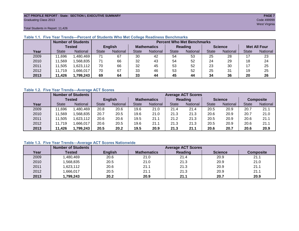## **ACT PROFILE REPORT - State: SECTION I, EXECUTIVE SUMMARY PAGE 7** Graduating Class 2013 Code 499999

west Virginia and the Community of the Community of the Community of the Community of the West Virginia and th

Total Students in Report: 11,426

|      |              | <b>Number of Students</b> |                | <b>Percent Who Met Benchmarks</b> |                    |          |              |                 |                |          |                     |          |  |  |
|------|--------------|---------------------------|----------------|-----------------------------------|--------------------|----------|--------------|-----------------|----------------|----------|---------------------|----------|--|--|
|      |              | Tested                    | <b>English</b> |                                   | <b>Mathematics</b> |          | Reading      |                 | <b>Science</b> |          | <b>Met All Four</b> |          |  |  |
| Year | <b>State</b> | <b>National</b>           | <b>State</b>   | National                          | State              | National | <b>State</b> | <b>National</b> | <b>State</b>   | National | <b>State</b>        | National |  |  |
| 2009 | 11,696       | 1,480,469                 | 71             | 67                                | 30                 | 42       | 54           | 53              | 25             | 28       |                     | 23       |  |  |
| 2010 | 11,569       | .568.835                  | 71             | 66                                | 32                 | 43       | 54           | 52              | 24             | 29       | 18                  | 24       |  |  |
| 2011 | 11,505       | 1,623,112                 | 70             | 66                                | 32                 | 45       | 53           | 52              | 23             | 30       |                     | 25       |  |  |
| 2012 | 11.719       | .666,017                  | 70             | 67                                | 33                 | 46       | 53           | 52              | 25             | 31       | 19                  | 25       |  |  |
| 2013 | 11,426       | 1,799,243                 | 69             | 64                                | 33                 | 44       | 45           | 44              | 34             | 36       | 20                  | 26       |  |  |

## **Table 1.1. Five Year Trends—Percent of Students Who Met College Readiness Benchmarks**

## **Table 1.2. Five Year Trends—Average ACT Scores**

|      |              | <b>Number of Students</b> |              |                 |                    | <b>Average ACT Scores</b> |                |                 |                |          |                  |          |  |  |  |
|------|--------------|---------------------------|--------------|-----------------|--------------------|---------------------------|----------------|-----------------|----------------|----------|------------------|----------|--|--|--|
|      |              | Tested                    |              | <b>English</b>  | <b>Mathematics</b> |                           | <b>Reading</b> |                 | <b>Science</b> |          | <b>Composite</b> |          |  |  |  |
| Year | <b>State</b> | National                  | <b>State</b> | <b>National</b> |                    | <b>National</b>           | <b>State</b>   | <b>National</b> | <b>State</b>   | National | <b>State</b>     | National |  |  |  |
| 2009 | .696         | .480,469                  | 20.8         | 20.6            | 19.6               | 21.0                      | 21.4           | 21.4            | 20.5           | 20.9     | 20.7             | 21.1     |  |  |  |
| 2010 | .569         | .568.835                  | 20.7         | 20.5            | 19.6               | 21.0                      | 21.3           | 21.3            | 20.6           | 20.9     | 20.7             | 21.0     |  |  |  |
| 2011 | .505         | .623,112                  | 20.6         | 20.6            | 19.5               | 21.1                      | 21.2           | 21.3            | 20.5           | 20.9     | 20.6             | 21.1     |  |  |  |
| 2012 | 11,719       | .666,017                  | 20.6         | 20.5            | 19.6               | 21.1                      | 21.3           | 21.3            | 20.5           | 20.9     | 20.6             | 21.1     |  |  |  |
| 2013 | 11,426       | 1,799,243                 | 20.5         | 20.2            | 19.5               | 20.9                      | 21.3           | 21.1            | 20.6           | 20.7     | 20.6             | 20.9     |  |  |  |

## **Table 1.3. Five Year Trends—Average ACT Scores Nationwide**

|      | <b>Number of Students</b> |                | <b>Average ACT Scores</b> |                |                |                  |  |  |  |  |  |  |
|------|---------------------------|----------------|---------------------------|----------------|----------------|------------------|--|--|--|--|--|--|
| Year | Tested                    | <b>English</b> | <b>Mathematics</b>        | <b>Reading</b> | <b>Science</b> | <b>Composite</b> |  |  |  |  |  |  |
| 2009 | ,480,469                  | 20.6           | 21.0                      | 21.4           | 20.9           | 21.1             |  |  |  |  |  |  |
| 2010 | ,568,835                  | 20.5           | 21.0                      | 21.3           | 20.9           | 21.0             |  |  |  |  |  |  |
| 2011 | ,623,112                  | 20.6           | 21.1                      | 21.3           | 20.9           | 21.1             |  |  |  |  |  |  |
| 2012 | ,666,017                  | 20.5           | 21.1                      | 21.3           | 20.9           | 21.1             |  |  |  |  |  |  |
| 2013 | 1,799,243                 | 20.2           | 20.9                      | 21.1           | 20.7           | 20.9             |  |  |  |  |  |  |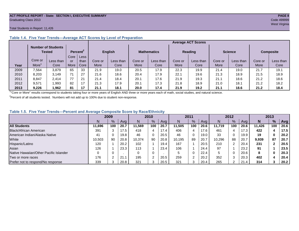## **ACT PROFILE REPORT - State: SECTION I, EXECUTIVE SUMMARY PAGE 8** Graduating Class 2013 Code 499999

## Total Students in Report: 11,426

|      |         |                                     |      |                      |         | <b>Average ACT Scores</b> |         |                    |         |                |         |                |         |                  |  |  |  |
|------|---------|-------------------------------------|------|----------------------|---------|---------------------------|---------|--------------------|---------|----------------|---------|----------------|---------|------------------|--|--|--|
|      |         | <b>Number of Students</b><br>Tested |      | Percent <sup>2</sup> |         | <b>English</b>            |         | <b>Mathematics</b> |         | <b>Reading</b> |         | <b>Science</b> |         | <b>Composite</b> |  |  |  |
|      |         |                                     | Core | Less                 |         |                           |         |                    |         |                |         |                |         |                  |  |  |  |
|      | Core or | Less than                           | or   | than                 | Core or | Less than                 | Core or | Less than          | Core or | Less than      | Core or | Less than      | Core or | Less than        |  |  |  |
| Year | More    | Core                                | More | Core                 | More    | Core                      | More    | Core               | More    | Core           | More    | Core           | More    | Core             |  |  |  |
| 2009 | .564    | 3.879                               | 65   | 33                   | 21.9    | 19.0                      | 20.5    | 17.9               | 22.3    | 19.9           | 21.4    | 19.0           | 21.7    | 19.1             |  |  |  |
| 2010 | 8,203   | 3.149                               | 71   | 27                   | 21.6    | 18.6                      | 20.4    | 17.9               | 22.1    | 19.6           | 21.3    | 18.9           | 21.5    | 18.9             |  |  |  |
| 2011 | 8,847   | 2,414                               | 77   | 21                   | 21.4    | 18.4                      | 20.1    | 17.6               | 21.9    | 19.3           | 21.1    | 18.6           | 21.2    | 18.6             |  |  |  |
| 2012 | 9,571   | .993                                | 82   | 17                   | 21.3    | 17.9                      | 20.1    | 17.3               | 21.8    | 18.9           | 21.0    | 18.1           | 21.2    | 18.2             |  |  |  |
| 2013 | 9.226   | .962                                | 81   | 17                   | 21.1    | 18.1                      | 20.0    | 17.4               | 21.9    | 19.2           | 21.1    | 18.6           | 21.2    | 18.4             |  |  |  |

## **Table 1.4. Five Year Trends—Average ACT Scores by Level of Preparation**

<sup>1</sup>"Core or More" results correspond to students taking four or more years of English AND three or more years each of math, social studies, and natural science.

 $2$ Percent of all students tested. Numbers will not add up to 100% due to student non-response.

## **Table 1.5. Five Year Trends—Percent and Average Composite Score by Race/Ethnicity**

|                                        | 2009   |     |      | 2010   |               | 2011 |        | 2012   |      |        | 2013 |      |        |     |      |
|----------------------------------------|--------|-----|------|--------|---------------|------|--------|--------|------|--------|------|------|--------|-----|------|
|                                        |        | %   | Avg  | N      | $\frac{9}{6}$ | Ava  | N      | %      | Avg  | N      | %    | Ava  | N      | %   | Avg  |
| <b>All Students</b>                    | 11.696 | 100 | 20.7 | 11.569 | 100           | 20.7 | 11.505 | 100    | 20.6 | 11.719 | 100  | 20.6 | 11.426 | 100 | 20.6 |
| Black/African American                 | 391    |     | 17.5 | 418    | 4             | 17.4 | 406    | 4      | 17.6 | 461    | 4    | 17.3 | 422    |     | 17.5 |
| American Indian/Alaska Native          | 41     |     | 19.8 | 46     | 0             | 20.5 | 46     | 0      | 19.0 | 33     | 0    | 19.9 | 19     | 0   | 20.2 |
| White                                  | 10,503 | 90  | 20.8 | 10.374 | 90            | 20.8 | 10.195 | 89     | 20.7 | 10.296 | 88   | 20.7 | 9,939  | 87  | 20.7 |
| Hispanic/Latino                        | 120    |     | 20.2 | 102    |               | 19.4 | 167    |        | 20.5 | 210    |      | 20.4 | 231    |     | 20.5 |
| Asian                                  | 126    |     | 23.3 | 113    |               | 23.4 | 106    |        | 24.4 | 97     |      | 23.2 | 91     |     | 23.5 |
| Native Hawaiian/Other Pacific Islander |        |     |      | 0      | 0             |      |        | 0      | 22.4 | 5      |      | 20.6 | 8      | 0   | 20.3 |
| Two or more races                      | 176    |     | 21.7 | 195    | 2             | 20.5 | 259    | $\sim$ | 20.2 | 352    |      | 20.3 | 402    |     | 20.4 |
| Prefer not to respond/No response      | 339    |     | 20.8 | 321    | ◠<br>دت       | 20.5 | 321    |        | 20.4 | 265    | ◠    | 21.4 | 314    |     | 20.2 |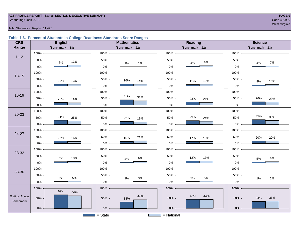## **ACT PROFILE REPORT - State: SECTION I, EXECUTIVE SUMMARY PAGE 9** Graduating Class 2013 Code 499999

west Virginia and the Community of the Community of the Community of the Community of the Community of the Comm

## Total Students in Report: 11,426

## **Table 1.6. Percent of Students in College Readiness Standards Score Ranges**

| <b>CRS</b>                 | <b>English</b>      | <b>Mathematics</b>      | <b>Reading</b>         | <b>Science</b>       |
|----------------------------|---------------------|-------------------------|------------------------|----------------------|
| Range                      | (Benchmark = $18$ ) | (Benchmark = $22$ )     | (Benchmark = $22$ )    | $(Benchmark = 23)$   |
|                            | 100%                | 100%                    | 100%                   | 100%                 |
| $1 - 12$                   | 50%<br>13%<br>7%    | 50%<br>$1\%$<br>$1\%$   | 50%<br>$8\%$<br>4%     | 50%<br>7%<br>4%      |
|                            | $0\%$               | $0\%$                   | $0\%$                  | $0\%$                |
| $13 - 15$                  | 100%                | 100%                    | 100%                   | 100%                 |
|                            | 50%<br>14%<br>13%   | 50%<br>16%<br>14%       | 50%<br>13%<br>11%      | 50%<br>10%<br>$9\%$  |
|                            | $0\%$               | $0\%$                   | $0\%$                  | 0%                   |
|                            | 100%                | 100%                    | 100%                   | 100%                 |
| 16-19                      | 50%<br>20%<br>18%   | 41%<br>33%<br>50%       | 50%<br>23%<br>21%      | 26%<br>50%<br>23%    |
|                            | 0%                  | $0\%$                   | $0\%$                  | $0\%$                |
|                            | 100%                | 100%                    | 100%                   | 100%                 |
| 20-23                      | 31%<br>25%<br>50%   | 50%<br>22%<br>19%       | 29%<br>50%<br>24%      | 35%<br>30%<br>50%    |
|                            | 0%                  | $0\%$                   | $0\%$                  | 0%                   |
|                            | 100%                | 100%                    | 100%                   | 100%                 |
| 24-27                      | 50%<br>18%<br>16%   | 50%<br>21%<br>16%       | 50%<br>17%<br>15%      | 50%<br>20%<br>20%    |
|                            | $0\%$               | $0\%$                   | $0\%$                  | $0\%$                |
|                            | 100%                | 100%                    | 100%                   | 100%                 |
| 28-32                      | 50%                 | 50%                     | 50%<br>13%<br>12%      | 50%                  |
|                            | 10%<br>8%<br>0%     | $9\%$<br>$4\%$<br>$0\%$ | $0\%$                  | $8\%$<br>5%<br>0%    |
|                            | 100%                | 100%                    | 100%                   | 100%                 |
| 33-36                      | 50%                 | 50%                     | 50%                    | 50%                  |
|                            | $5\%$<br>3%<br>0%   | $3%$<br>$1\%$<br>$0\%$  | $5\%$<br>$3%$<br>$0\%$ | 2%<br>$1\%$<br>$0\%$ |
|                            | 100%                | 100%                    | 100%                   | 100%                 |
|                            | 69%<br>64%          |                         |                        |                      |
| % At or Above<br>Benchmark | 50%                 | 44%<br>50%<br>33%       | 45%<br>44%<br>50%      | 36%<br>50%<br>34%    |
|                            |                     |                         |                        |                      |
|                            | $0\%$               | $0\%$                   | $0\%$                  | $0\%$                |
|                            |                     | $=$ State               | $=$ National           |                      |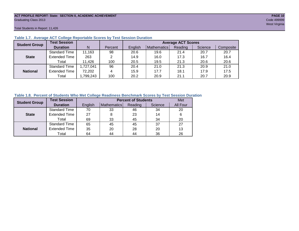## **ACT PROFILE REPORT- State: SECTION II, ACADEMIC ACHIEVEMENT PAGE 10** Graduating Class 2013 Code 499999

Total Students in Report: 11,426

| <b>Student Group</b> | <b>Test Session</b>  |           |         | <b>Average ACT Scores</b> |             |         |         |           |  |  |  |  |  |
|----------------------|----------------------|-----------|---------|---------------------------|-------------|---------|---------|-----------|--|--|--|--|--|
|                      | <b>Duration</b>      | N         | Percent | English                   | Mathematics | Reading | Science | Composite |  |  |  |  |  |
|                      | <b>Standard Time</b> | 11,163    | 98      | 20.6                      | 19.6        | 21.4    | 20.7    | 20.7      |  |  |  |  |  |
| <b>State</b>         | <b>Extended Time</b> | 263       | 2       | 14.9                      | 16.0        | 17.3    | 16.7    | 16.4      |  |  |  |  |  |
|                      | Total                | 11,426    | 100     | 20.5                      | 19.5        | 21.3    | 20.6    | 20.6      |  |  |  |  |  |
|                      | <b>Standard Time</b> | 1,727,041 | 96      | 20.4                      | 21.0        | 21.3    | 20.9    | 21.0      |  |  |  |  |  |
| <b>National</b>      | <b>Extended Time</b> | 72,202    | 4       | 15.9                      | 17.7        | 18.1    | 17.9    | 17.5      |  |  |  |  |  |
|                      | Total                | ,799,243  | 100     | 20.2                      | 20.9        | 21.1    | 20.7    | 20.9      |  |  |  |  |  |

## **Table 1.7. Average ACT College Reportable Scores by Test Session Duration**

## **Table 1.8. Percent of Students Who Met College Readiness Benchmark Scores by Test Session Duration**

| <b>Student Group</b> | <b>Test Session</b>  |         | Met         |         |         |          |
|----------------------|----------------------|---------|-------------|---------|---------|----------|
|                      | <b>Duration</b>      | English | Mathematics | Reading | Science | All Four |
|                      | Standard Time        | 70      | 33          | 46      | 34      | 20       |
| <b>State</b>         | <b>Extended Time</b> | 27      |             | 23      | 14      | 6        |
|                      | Total                | 69      | 33          | 45      | 34      | 20       |
|                      | <b>Standard Time</b> | 65      | 45          | 45      | 37      | 27       |
| <b>National</b>      | <b>Extended Time</b> | 35      | 20          | 28      | 20      | 13       |
|                      | Total                | 64      | 44          | 44      | 36      | 26       |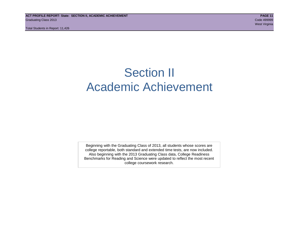## Section II Academic Achievement

Beginning with the Graduating Class of 2013, all students whose scores are college reportable, both standard and extended time tests, are now included. Also beginning with the 2013 Graduating Class data, College Readiness Benchmarks for Reading and Science were updated to reflect the most recent college coursework research.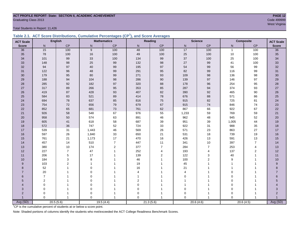## **ACT PROFILE REPORT- State: SECTION II, ACADEMIC ACHIEVEMENT PAGE 12** Graduating Class 2013 Code 499999

Total Students in Report: 11,426

|  | Table 2.1. ACT Score Distributions, Cumulative Percentages (CP <sup>1</sup> ), and Score Averages |  |  |  |
|--|---------------------------------------------------------------------------------------------------|--|--|--|
|  |                                                                                                   |  |  |  |

| <b>ACT Scale</b> |                | <b>English</b> |             | <b>Mathematics</b> |          | Reading        |                | <b>Science</b> |              | <b>Composite</b><br><b>ACT Scale</b> |                |
|------------------|----------------|----------------|-------------|--------------------|----------|----------------|----------------|----------------|--------------|--------------------------------------|----------------|
| <b>Score</b>     | N              | CP             | ${\sf N}$   | $\mathsf{CP}$      | N        | $\mathsf{CP}$  | ${\sf N}$      | CP             | N            | $\mathsf{CP}$                        | <b>Score</b>   |
| 36               | 15             | 100            | 9           | 100                | 48       | 100            | 17             | 100            | $\mathbf{1}$ | 100                                  | 36             |
| 35               | 78             | 100            | 16          | 100                | 49       | 100            | 25             | 100            | $10\,$       | 100                                  | 35             |
| 34               | 101            | 99             | 33          | 100                | 134      | 99             | 37             | 100            | 25           | 100                                  | 34             |
| 33               | 148            | 98             | 25          | 99                 | 132      | 98             | 27             | 99             | 41           | 100                                  | 33             |
| 32               | 94             | 97             | 40          | 99                 | 195      | 97             | 54             | 99             | 56           | 99                                   | 32             |
| 31               | 122            | 96             | 48          | 99                 | 291      | 95             | 82             | 99             | 116          | 99                                   | 31             |
| 30               | 179            | 95             | 80          | 99                 | 271      | 93             | 109            | $98\,$         | 136          | 98                                   | 30             |
| 29               | 188            | 94             | 104         | 98                 | 286      | 90             | 139            | $97\,$         | 146          | 97                                   | 29             |
| 28               | 285            | 92             | 182         | 97                 | 320      | 88             | 178            | 96             | 254          | 95                                   | $28\,$         |
| 27               | 317            | 89             | 266         | 95                 | 353      | 85             | 287            | 94             | 374          | 93                                   | $27\,$         |
| 26               | 419            | 87             | 428         | 93                 | 407      | 82             | 390            | 92             | 465          | 90                                   | $26\,$         |
| 25               | 584            | 83             | 521         | 89                 | 414      | 78             | 676            | 88             | 571          | 86                                   | 25             |
| 24               | 694            | 78             | 637         | 85                 | 816      | 75             | 915            | 82             | 725          | 81                                   | 24             |
| 23               | 754            | 72             | 656         | $\bf 79$           | 679      | 67             | 915            | $74\,$         | 846          | 74                                   | 23             |
| 22               | 852            | 65             | 681         | 73                 | 761      | 62             | 867            | 66             | 922          | 67                                   | 22             |
| 21               | 926            | 58             | 548         | 67                 | 976      | 55             | 1,233          | 59             | 769          | 59                                   | 21             |
| 20               | 958            | 50             | 574         | 63                 | 891      | 46             | 962            | 48             | 945          | 52                                   | 20             |
| 19               | 605            | 41             | 618         | 58                 | 687      | 39             | 951            | 39             | 1,005        | 44                                   | 19             |
| 18               | 572            | 36             | 747         | 52                 | 724      | 33             | 922            | 31             | 988          | 35                                   | 18             |
| 17               | 539            | 31             | 1,443       | 46                 | 569      | 26             | 571            | 23             | 863          | 27                                   | 17             |
| 16               | 597            | 26             | 1,840       | 33                 | 650      | 21             | 531            | 18             | 739          | 19                                   | 16             |
| 15               | 761            | 21             | 1,173       | 17                 | 470      | 16             | 426            | 13             | 591          | 13                                   | 15             |
| 14               | 457            | 14             | 510         | $\boldsymbol{7}$   | 447      | 11             | 341            | $10$           | 397          | $\overline{7}$                       | 14             |
| 13               | 380            | 10             | 174         | $\overline{2}$     | 377      | $\overline{7}$ | 284            | $\overline{7}$ | 253          | $\overline{4}$                       | 13             |
| 12               | 227            | $\overline{7}$ | 47          | $\mathbf{1}$       | 252      | 4              | 193            | 4              | 137          | $\boldsymbol{2}$                     | 12             |
| 11               | 206            | 5              | 17          |                    | 139      | 2              | 122            | 3              | 40           | $\mathbf 1$                          | 11             |
| 10               | 184            | 3              | 8           |                    | 46       | 1              | 100            | $\overline{2}$ | 9            | 1                                    | 10             |
| 9                | 103            | $\overline{2}$ | 1           |                    | 19       |                | 45             | 1              |              |                                      | 9              |
| 8                | 52             |                | $\Omega$    |                    | 16       |                | 21             |                |              |                                      | 8              |
| $\overline{7}$   | 20             |                | $\Omega$    |                    | 4        |                | $\overline{4}$ |                | $\Omega$     |                                      | $\overline{7}$ |
| 6                | $\overline{7}$ |                | $\Omega$    |                    |          |                | $\Omega$       |                | $\mathbf 0$  |                                      | 6              |
| 5                | $\mathbf 2$    |                | $\mathbf 0$ |                    | 2        |                |                |                | $\mathbf 0$  |                                      | 5              |
| 4                | 0              |                | $\Omega$    |                    | 0        |                |                |                | $\mathbf 0$  |                                      |                |
| 3                | $\mathbf 0$    |                | $\mathbf 0$ |                    | $\Omega$ |                | $\mathbf 0$    |                | $\mathbf 0$  |                                      | 3              |
| $\overline{2}$   | 0              |                | 0           |                    | 0        |                | 0              | $\mathbf{1}$   | $\Omega$     |                                      | $\overline{2}$ |
|                  | $\Omega$       | $\mathbf{1}$   | $\Omega$    | -1                 | $\Omega$ | 1              | $\Omega$       | 1              | $\Omega$     | $\overline{1}$                       |                |
| Avg (SD)         |                | 20.5(5.6)      |             | 19.5(4.4)          |          | 21.3(5.6)      |                | 20.6(4.6)      | 20.6(4.5)    |                                      | Avg (SD)       |

west Virginia and the Community of the Community of the Community of the Community of the Community of the Comm

<sup>1</sup>CP is the cumulative percent of students at or below a score point.

Note: Shaded portions of columns identify the students who met/exceeded the ACT College Readiness Benchmark Scores.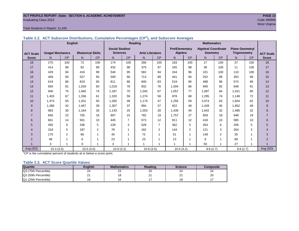## **ACT PROFILE REPORT- State: SECTION II, ACADEMIC ACHIEVEMENT PAGE 13** Graduating Class 2013 Code 499999

## Total Students in Report: 11,426

|                  |                         | <b>English</b> |                          |                |                        | Reading        |                        |                |                       |     | <b>Mathematics</b>         |                |                        |     |                  |  |
|------------------|-------------------------|----------------|--------------------------|----------------|------------------------|----------------|------------------------|----------------|-----------------------|-----|----------------------------|----------------|------------------------|-----|------------------|--|
|                  |                         |                |                          |                | <b>Social Studies/</b> |                |                        |                | <b>Pre/Elementary</b> |     | <b>Algebra/ Coordinate</b> |                | <b>Plane Geometry/</b> |     |                  |  |
| <b>ACT Scale</b> | <b>Usage/ Mechanics</b> |                | <b>Rhetorical Skills</b> |                | <b>Sciences</b>        |                | <b>Arts/Literature</b> |                | Algebra               |     | <b>Geometry</b>            |                | <b>Trigonometry</b>    |     | <b>ACT Scale</b> |  |
| <b>Score</b>     | N.                      | CP             | N                        | CP             | N                      | CP             | N                      | CP             | N                     | CP  | N                          | CP             | N <sub>1</sub>         | CP  | <b>Score</b>     |  |
| 18               | 270                     | 100            | 72                       | 100            | 174                    | 100            | 286                    | 100            | 183                   | 100 | 17                         | 100            | 37                     | 100 | 18               |  |
| 17               | 414                     | 98             | 82                       | 99             | 432                    | 98             | 375                    | 97             | 245                   | 98  | 36                         | 100            | 11                     | 100 | 17               |  |
| 16               | 429                     | 94             | 416                      | 99             | 540                    | 95             | 582                    | 94             | 244                   | 96  | 101                        | 100            | 110                    | 100 | 16               |  |
| 15               | 458                     | 90             | 527                      | 95             | 509                    | 90             | 713                    | 89             | 441                   | 94  | 252                        | 99             | 353                    | 99  | 15               |  |
| 14               | 619                     | 86             | 819                      | 90             | 811                    | 86             | 840                    | 83             | 519                   | 90  | 488                        | 96             | 574                    | 96  | 14               |  |
| 13               | 650                     | 81             | 1,026                    | 83             | 1,018                  | 78             | 932                    | 76             | 1,004                 | 86  | 940                        | 92             | 648                    | 91  | 13               |  |
| 12               | 940                     | 75             | 1,465                    | 74             | 1,187                  | 70             | 1,042                  | 67             | 1.057                 | 77  | 1,097                      | 84             | 1,421                  | 85  | 12               |  |
| 11               | 1.403                   | 67             | 1.336                    | 61             | 1,320                  | 59             | 1.274                  | 58             | 978                   | 68  | 1.295                      | 74             | 1.148                  | 72  | 11               |  |
| 10               | 1.474                   | 55             | 1.201                    | 50             | 1.260                  | 48             | 1.174                  | 47             | 1.255                 | 59  | 2,074                      | 63             | 1.654                  | 62  | 10               |  |
| 9                | 1,286                   | 42             | 1,467                    | 39             | 1,307                  | 37             | 994                    | 37             | 922                   | 48  | 1,428                      | 45             | 1,852                  | 48  | 9                |  |
| 8                | 983                     | 30             | 1,164                    | 26             | 1,143                  | 25             | 1,053                  | 28             | 1,439                 | 40  | 1,642                      | 32             | 1.485                  | 32  | 8                |  |
| $\overline{7}$   | 845                     | 22             | 755                      | 16             | 907                    | 15             | 782                    | 19             | 1.757                 | 27  | 959                        | 18             | 948                    | 19  | $\overline{7}$   |  |
| 6                | 661                     | 14             | 501                      | 10             | 445                    | $\overline{7}$ | 573                    | 12             | 811                   | 12  | 418                        | 10             | 585                    | 10  | 6                |  |
| 5                | 455                     | 9              | 336                      | 5              | 229                    | 3              | 528                    | $\overline{7}$ | 362                   | 5   | 354                        | 6              | 206                    | 5   | 5                |  |
| 4                | 318                     | 5              | 187                      | $\overline{2}$ | 78                     |                | 182                    | 2              | 144                   | 2   | 121                        | 3              | 264                    | 3   | $\overline{4}$   |  |
| 3                | 170                     | 2              | 66                       | 1              | 40                     |                | 72                     | 1              | 51                    |     | 148                        | $\overline{2}$ | 35                     | 1   | 3                |  |
| $\overline{2}$   | 48                      | $\overline{A}$ | 6                        | 1              | 23                     |                | 23                     | 1              | 13                    |     | 6                          | 1              | 68                     | 1   | $\overline{2}$   |  |
|                  | 3                       |                | $\mathbf 0$              | 1              | 3                      |                |                        |                |                       |     | 50                         | 1              | 27                     | 1   |                  |  |
| Avg (SD)         | 10.3(3.5)               |                | 10.5(3.0)                |                | 10.9(3.2)              |                | 10.8(3.5)              |                | 10.0(3.2)             |     | 9.8(2.7)                   |                | 9.8(2.7)               |     | Avg (SD)         |  |

**Table 2.2. ACT Subscore Distributions, Cumulative Percentages (CP<sup>1</sup> ), and Subscore Averages**

 $1$ <sup>T</sup>CP is the cumulative percent of students at or below a score point.

## **Table 2.3. ACT Score Quartile Values**

| <b>Quartile</b>      | <b>Enalish</b> | <b>Mathematics</b> | Reading | <b>Science</b> | Composite |
|----------------------|----------------|--------------------|---------|----------------|-----------|
| Q3 (75th Percentile) | 24             | ົ<br>ںے            | 25      | 24             | 24        |
| Q2 (50th Percentile) | <u>_</u>       |                    | n.<br>∠ | ິ<br>-         | 20        |
| Q1 (25th Percentile) |                |                    |         | י ^<br>۱o      |           |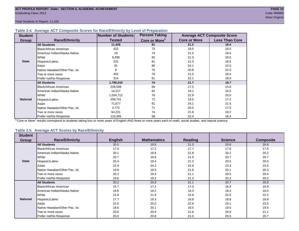Total Students in Report: 11,426

## **Table 2.4. Average ACT Composite Scores for Race/Ethnicity by Level of Preparation**

| <b>Student</b>  |                                 | Number of Students | <b>Percent Taking</b>     |                     | <b>Average ACT Composite Score</b> |
|-----------------|---------------------------------|--------------------|---------------------------|---------------------|------------------------------------|
| <b>Group</b>    | <b>Race/Ethnicity</b>           | <b>Tested</b>      | Core or More <sup>1</sup> | <b>Core or More</b> | <b>Less Than Core</b>              |
|                 | <b>All Students</b>             | 11,426             | 81                        | 21.2                | 18.4                               |
|                 | Black/African American          | 422                | 73                        | 18.0                | 16.5                               |
|                 | American Indian/Alaska Native   | 19                 | 74                        | 21.5                | 16.6                               |
|                 | White                           | 9,939              | 82                        | 21.3                | 18.5                               |
| <b>State</b>    | Hispanic/Latino                 | 231                | 81                        | 21.0                | 18.5                               |
|                 | Asian                           | 91                 | 80                        | 24.1                | 22.0                               |
|                 | Native Hawaiian/Other Pac. Isl. | 8                  | 75                        | 20.8                | 22.0                               |
|                 | Two or more races               | 402                | 79                        | 21.0                | 18.4                               |
|                 | Prefer not/No Response          | 314                | 61                        | 22.1                | 19.0                               |
|                 | <b>All Students</b>             | 1,799,243          | 74                        | 21.7                | 18.7                               |
|                 | Black/African American          | 239,598            | 69                        | 17.5                | 15.6                               |
|                 | American Indian/Alaska Native   | 14,217             | 62                        | 19.1                | 16.5                               |
|                 | White                           | 1,034,712          | 76                        | 22.9                | 20.0                               |
| <b>National</b> | Hispanic/Latino                 | 259,741            | 72                        | 19.5                | 17.2                               |
|                 | Asian                           | 71,677             | 81                        | 24.1                | 21.5                               |
|                 | Native Hawaiian/Other Pac. Isl. | 4,772              | 71                        | 20.5                | 17.5                               |
|                 | Two or more races               | 64,221             | 74                        | 21.9                | 19.2                               |
|                 | Prefer not/No Response          | 110,305            | 58                        | 22.4                | 18.4                               |

<sup>1</sup>"Core or More" results correspond to students taking four or more years of English AND three or more years each of math, social studies, and natural science.

## **Table 2.5. Average ACT Scores by Race/Ethnicity**

| <b>Student</b>  |                                 |                |                    |                |                |                  |
|-----------------|---------------------------------|----------------|--------------------|----------------|----------------|------------------|
| Group           | <b>Race/Ethnicity</b>           | <b>English</b> | <b>Mathematics</b> | <b>Reading</b> | <b>Science</b> | <b>Composite</b> |
|                 | <b>All Students</b>             | 20.5           | 19.5               | 21.3           | 20.6           | 20.6             |
|                 | Black/African American          | 17.0           | 17.2               | 17.7           | 17.8           | 17.5             |
|                 | American Indian/Alaska Native   | 20.1           | 18.8               | 21.8           | 20.2           | 20.2             |
|                 | White                           | 20.7           | 19.6               | 21.5           | 20.7           | 20.7             |
| <b>State</b>    | Hispanic/Latino                 | 20.4           | 19.4               | 21.2           | 20.5           | 20.5             |
|                 | Asian                           | 22.9           | 24.2               | 22.9           | 23.3           | 23.5             |
|                 | Native Hawaiian/Other Pac. Isl. | 19.8           | 18.5               | 21.6           | 20.1           | 20.3             |
|                 | Two or more races               | 20.2           | 19.4               | 21.1           | 20.5           | 20.4             |
|                 | Prefer not/No Response          | 19.6           | 19.2               | 21.3           | 20.2           | 20.2             |
|                 | <b>All Students</b>             | 20.2           | 20.9               | 21.1           | 20.7           | 20.9             |
|                 | <b>Black/African American</b>   | 15.7           | 17.2               | 17.0           | 16.9           | 16.9             |
|                 | American Indian/Alaska Native   | 16.6           | 18.2               | 18.3           | 18.3           | 18.0             |
|                 | White                           | 21.8           | 21.9               | 22.6           | 22.0           | 22.2             |
| <b>National</b> | Hispanic/Latino                 | 17.7           | 19.3               | 18.9           | 18.8           | 18.8             |
|                 | Asian                           | 22.5           | 25.0               | 22.9           | 23.1           | 23.5             |
|                 | Native Hawaiian/Other Pac. Isl. | 18.6           | 20.1               | 19.5           | 19.5           | 19.5             |
|                 | Two or more races               | 20.6           | 20.9               | 21.6           | 20.9           | 21.1             |
|                 | Prefer not/No Response          | 20.0           | 20.8               | 21.0           | 20.5           | 20.7             |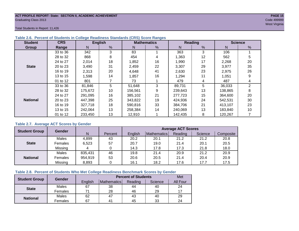## **ACT PROFILE REPORT- State: SECTION II, ACADEMIC ACHIEVEMENT PAGE 15** Graduating Class 2013 Code 499999

west Virginia and the Community of the Community of the Community of the Community of the Community of the Comm

Total Students in Report: 11,426

| <b>Student</b>  | <b>CRS</b> |         | <b>English</b> |         | <b>Mathematics</b> |         | Reading |         | <b>Science</b> |
|-----------------|------------|---------|----------------|---------|--------------------|---------|---------|---------|----------------|
| Group           | Range      | N.      | %              | N       | %                  | N       | %       | N       | %              |
|                 | 33 to 36   | 342     | 3              | 83      |                    | 363     | 3       | 106     |                |
|                 | 28 to 32   | 868     | 8              | 454     | 4                  | 1,363   | 12      | 562     | 5              |
|                 | 24 to 27   | 2,014   | 18             | 1,852   | 16                 | 1,990   | 17      | 2,268   | 20             |
| <b>State</b>    | 20 to 23   | 3,490   | 31             | 2,459   | 22                 | 3,307   | 29      | 3,977   | 35             |
|                 | 16 to 19   | 2,313   | 20             | 4,648   | 41                 | 2,630   | 23      | 2,975   | 26             |
|                 | 13 to 15   | 1,598   | 14             | 1,857   | 16                 | 1,294   | 11      | 1,051   | 9              |
|                 | 01 to 12   | 801     |                | 73      |                    | 479     | 4       | 487     | 4              |
|                 | 33 to 36   | 81,846  | 5              | 51,648  | 3                  | 89,731  | 5       | 36,033  | $\overline{2}$ |
|                 | 28 to 32   | 175,672 | 10             | 156,561 | 9                  | 239,643 | 13      | 138,865 | 8              |
|                 | 24 to 27   | 291,095 | 16             | 385,102 | 21                 | 277,723 | 15      | 364,600 | 20             |
| <b>National</b> | 20 to 23   | 447.398 | 25             | 343.822 | 19                 | 424.936 | 24      | 542.531 | 30             |
|                 | 16 to 19   | 327,718 | 18             | 590,816 | 33                 | 384,706 | 21      | 413,107 | 23             |
|                 | 13 to 15   | 242,064 | 13             | 258.384 | 14                 | 240.069 | 13      | 183.840 | 10             |
|                 | 01 to 12   | 233,450 | 13             | 12,910  |                    | 142,435 | 8       | 120,267 |                |

## **Table 2.6. Percent of Students in College Readiness Standards (CRS) Score Ranges**

## **Table 2.7. Average ACT Scores by Gender**

| <b>Student Group</b> | <b>Gender</b> |         |         | <b>Average ACT Scores</b> |             |         |         |           |  |  |  |
|----------------------|---------------|---------|---------|---------------------------|-------------|---------|---------|-----------|--|--|--|
|                      |               | N       | Percent | Enalish                   | Mathematics | Reading | Science | Composite |  |  |  |
|                      | Males         | 4,899   | 43      | 20.2                      | 20.1        | 21.2    | 21.2    | 20.8      |  |  |  |
| <b>State</b>         | Females       | 6,523   | 57      | 20.7                      | 19.0        | 21.4    | 20.1    | 20.5      |  |  |  |
|                      | Missing       | 4       |         | 14.3                      | 17.8        | 17.3    | 21.8    | 18.0      |  |  |  |
|                      | Males         | 835,431 | 46      | 19.8                      | 21.4        | 20.9    | 21.2    | 20.9      |  |  |  |
| <b>National</b>      | Females       | 954,919 | 53      | 20.6                      | 20.5        | 21.4    | 20.4    | 20.9      |  |  |  |
|                      | Missing       | 8,893   |         | 16.1                      | 18.2        | 17.6    | 17.7    | 17.5      |  |  |  |

## **Table 2.8. Percent of Students Who Met College Readiness Benchmark Scores by Gender**

| <b>Student Group</b> | <b>Gender</b> |         | Met                |         |         |          |
|----------------------|---------------|---------|--------------------|---------|---------|----------|
|                      |               | English | <b>Mathematics</b> | Reading | Science | All Four |
| <b>State</b>         | Males         | 67      | 38                 | 44      | 40      | 24       |
|                      | Females       |         | 28                 | 46      | 29      |          |
| <b>National</b>      | Males         | 62      | 47                 | 43      | 40      | 29       |
|                      | Females       | 67      | 4 <sup>1</sup>     | 45      | 33      | 24       |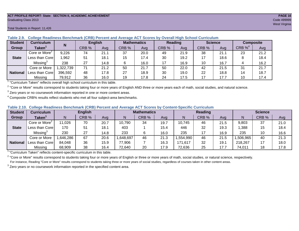### **ACT PROFILE REPORT- State: SECTION II, ACADEMIC ACHIEVEMENT PAGE 16** Graduating Class 2013 Code 499999

#### **Student Curriculum English Mathematics Reading Science Composite Group Taken<sup>1</sup> | III CRB** % | Avg | CRB % | Avg | CRB % | Avg | CRB % | CRB %<sup>4</sup> Avg Core or More<sup>2</sup> 9,226 | 74 | 21.1 | 37 | 20.0 | 49 | 21.9 | 38 | 21.1 | 23 | 21.2 Less than Core | 1,962 | 51 | 18.1 | 15 | 17.4 | 30 | 19.2 | 17 | 18.6 | 8 | 18.4 Missing<sup>3</sup> 238 27 14.8 6 16.0 17 16.9 10 16.7 4 16.2 Core or More | 1,322,739 | 71 | 21.2 | 50 | 250 | 22.0 | 42 | 21.5 | 31 | 21.7 Less than Core 396,592 48 17.8 27 18.9 30 19.0 22 18.8 14 18.7 Missing | 79,912 | 36 | 16.0 | 19 | 17.8 | 24 | 17.5 | 17 | 17.7 | 10 | 17.4 **N State National**

**Table 2.9. College Readiness Benchmark (CRB) Percent and Average ACT Scores by Overall High School Curriculum**

<sup>1</sup> "Curriculum Taken" reflects overall high school curriculum in this table.

 $^2$  "Core or More" results correspond to students taking four or more years of English AND three or more years each of math, social studies, and natural science.

 $3$  Zero years or no coursework information reported in one or more content areas.

 $4$  Composite CRB% results reflect students who met all four subject-area benchmarks.

| Table 2.10. College Readiness Benchmark (CRB) Percent and Average ACT Scores by Content-Specific Curriculum |
|-------------------------------------------------------------------------------------------------------------|
|-------------------------------------------------------------------------------------------------------------|

| <b>Student</b>  | Curriculum                    |          | <b>English</b> |      | <b>Mathematics</b> |       |      |          | <b>Reading</b> |      |          | <b>Science</b> |      |  |
|-----------------|-------------------------------|----------|----------------|------|--------------------|-------|------|----------|----------------|------|----------|----------------|------|--|
| Group           | $\mathsf{Taken}^{\mathsf{T}}$ |          | CRB %          | Avg  | N                  | CRB % | Avg  | N        | CRB %          | Avg  | N        | CRB %          | Avg  |  |
|                 | Core or More <sup>2</sup>     | 11,026   | 70             | 20.7 | 10,790             | 34    | 19.7 | 10,745   | 46             | 21.5 | 9,803    | 37             | 21.0 |  |
| <b>State</b>    | Less than Corel               | 170      | 51             | 18.1 | 403                |       | 15.4 | 446      | 32             | 19.3 | .388     | 15             | 18.4 |  |
|                 | Missing <sup>3</sup>          | 230      | 27             | 14.8 | 233                |       | 16.0 | 235      | 17             | 16.9 | 235      | 10             | 16.6 |  |
|                 | Core or More                  | .646,286 | 67             | 20.6 | ,648,697           | 46    | 21.3 | ,554,990 | 46             | 21.5 | ,506,965 | 40             | 21.3 |  |
| <b>National</b> | Less than Core                | 84,048   | 36             | 15.9 | 77,906             |       | 16.3 | 171,617  | 32             | 19.7 | 218,267  |                | 18.0 |  |
|                 | Missing                       | 68,909   | 38             | 16.4 | 72,640             | 20    | 17.9 | 72,636   | 25             | 17.7 | 74,011   | 18             | 17.8 |  |

<sup>1</sup>"Curriculum Taken" reflects content-specific curriculum in this table.

<sup>2</sup> "Core or More" results correspond to students taking four or more years of English or three or more years of math, social studies, or natural science, respectively. For instance, Reading "Core or More" results correspond to students taking three or more years of social studies, regardless of courses taken in other content areas.

 $3$  Zero years or no coursework information reported in the specified content area.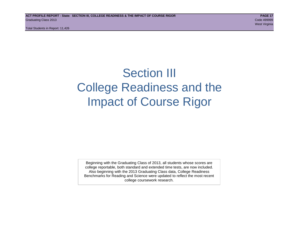Total Students in Report: 11,426

## Section III College Readiness and the Impact of Course Rigor

Beginning with the Graduating Class of 2013, all students whose scores are college reportable, both standard and extended time tests, are now included. Also beginning with the 2013 Graduating Class data, College Readiness Benchmarks for Reading and Science were updated to reflect the most recent college coursework research.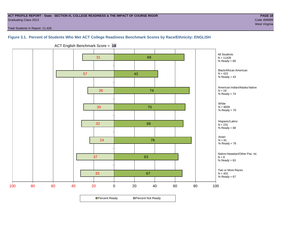## **ACT PROFILE REPORT - State: SECTION III, COLLEGE READINESS & THE IMPACT OF COURSE RIGOR PAGE 18** Graduating Class 2013 Code 499999

Total Students in Report: 11,426

## **Figure 3.1. Percent of Students Who Met ACT College Readiness Benchmark Scores by Race/Ethnicity: ENGLISH**



ACT English Benchmark Score = **18**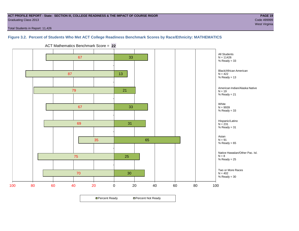## **ACT PROFILE REPORT - State: SECTION III, COLLEGE READINESS & THE IMPACT OF COURSE RIGOR PAGE 19** Graduating Class 2013 Code 499999

west Virginia and the Community of the Community of the Community of the Community of the Community of the Comm

Total Students in Report: 11,426

## **Figure 3.2. Percent of Students Who Met ACT College Readiness Benchmark Scores by Race/Ethnicity: MATHEMATICS**

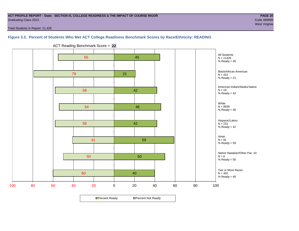## **ACT PROFILE REPORT - State: SECTION III, COLLEGE READINESS & THE IMPACT OF COURSE RIGOR PAGE 20** Graduating Class 2013 Code 499999

Total Students in Report: 11,426

## **Figure 3.3. Percent of Students Who Met ACT College Readiness Benchmark Scores by Race/Ethnicity: READING**



ACT Reading Benchmark Score = **22**

**□ Percent Ready DPercent Not Ready**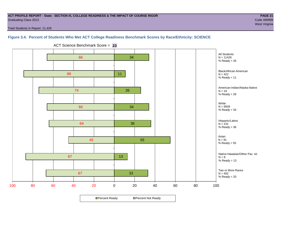## **ACT PROFILE REPORT - State: SECTION III, COLLEGE READINESS & THE IMPACT OF COURSE RIGOR PAGE 21** Graduating Class 2013 Code 499999

west Virginia and the Community of the Community of the Community of the Community of the Community of the Comm

Total Students in Report: 11,426

## **Figure 3.4. Percent of Students Who Met ACT College Readiness Benchmark Scores by Race/Ethnicity: SCIENCE**



ACT Science Benchmark Score = **23**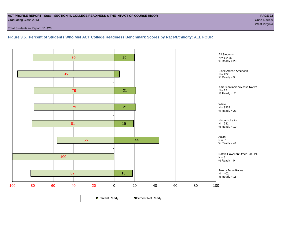## **ACT PROFILE REPORT - State: SECTION III, COLLEGE READINESS & THE IMPACT OF COURSE RIGOR PAGE 22** Graduating Class 2013 Code 499999

Total Students in Report: 11,426

## **Figure 3.5. Percent of Students Who Met ACT College Readiness Benchmark Scores by Race/Ethnicity: ALL FOUR**

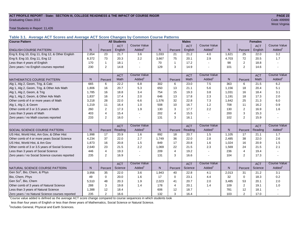## **ACT PROFILE REPORT - State: SECTION III, COLLEGE READINESS & THE IMPACT OF COURSE RIGOR PAGE 23** Graduating Class 2013 Code 499999

Total Students in Report: 11,426

**Table 3.1. Average ACT Scores and Average ACT Score Changes by Common Course Patterns**

| <b>Course Pattern</b>                            |                |                | <b>All Students</b> |                     |       |                | <b>Males</b> |                       |       |                | <b>Females</b> |                        |
|--------------------------------------------------|----------------|----------------|---------------------|---------------------|-------|----------------|--------------|-----------------------|-------|----------------|----------------|------------------------|
|                                                  |                |                | <b>ACT</b>          | <b>Course Value</b> |       |                | <b>ACT</b>   | <b>Course Value</b>   |       |                | <b>ACT</b>     | <b>Course Value</b>    |
| <b>ENGLISH COURSE PATTERN</b>                    | N <sub>1</sub> | Percent        | English             | Added <sup>1</sup>  | N.    | Percent        | English      | Added                 | N     | Percent        | English        | Added <sup>1</sup>     |
| Eng 9, Eng 10, Eng 11, Eng 12, & Other English   | 2,654          | 23             | 21.7                | 3.6                 | 1,033 | 21             | 21.2         | 4.0                   | 1,621 | 25             | 22.0           | 3.2                    |
| Eng 9, Eng 10, Eng 11, Eng 12                    | 8,372          | 73             | 20.3                | 2.2                 | 3,667 | 75             | 20.1         | 2.9                   | 4,703 | 72             | 20.5           | 1.7                    |
| Less than 4 years of English                     | 170            | 1              | 18.1                |                     | 70    | $\mathbf{1}$   | 17.2         | $\overline{a}$        | 98    | 2              | 18.8           |                        |
| Zero years / no English courses reported         | 230            | $\mathbf{2}$   | 14.8                |                     | 129   | 3              | 14.9         |                       | 101   | $\overline{2}$ | 14.6           |                        |
|                                                  |                |                | <b>ACT</b>          | <b>Course Value</b> |       |                | <b>ACT</b>   | <b>Course Value</b>   |       |                | <b>ACT</b>     | <b>Course Value</b>    |
| MATHEMATICS COURSE PATTERN                       | N.             | Percent        | Math                | Added               | N     | Percent        | Math         | Added                 | N     | Percent        | Math           | Added <sup>1</sup>     |
| Alg 1, Alg 2, Geom, Trig, & Calc                 | 665            | 6              | 22.2                | 6.8                 | 302   | 6              | 23.0         | 7.5                   | 363   | 6              | 21.5           | 6.2                    |
| Alg 1, Alg 2, Geom, Trig, & Other Adv Math       | 1.806          | 16             | 20.7                | 5.3                 | 650   | 13             | 21.1         | 5.6                   | 1.156 | 18             | 20.4           | 5.1                    |
| Alg 1, Alg 2, Geom, & Trig                       | 1.785          | 16             | 18.8                | 3.4                 | 754   | 15             | 19.3         | 3.8                   | 1,031 | 16             | 18.4           | 3.1                    |
| Alg 1, Alg 2, Geom, & Other Adv Math             | 1,837          | 16             | 17.4                | 2.0                 | 646   | 13             | 17.8         | 2.3                   | 1,191 | 18             | 17.3           | 2.0                    |
| Other comb of 4 or more years of Math            | 3,218          | 28             | 22.0                | 6.6                 | 1,576 | 32             | 22.8         | 7.3                   | 1,642 | 25             | 21.3           | 6.0                    |
| Alg 1, Alg 2, & Geom                             | 1,219          | 11             | 16.4                | 1.0                 | 508   | 10             | 16.7         | 1.2                   | 708   | 11             | 16.2           | 0.9                    |
| Other comb of 3 or 3.5 years of Math             | 260            | 2              | 17.3                | 1.9                 | 130   | 3              | 17.7         | 2.2                   | 130   | $\overline{2}$ | 16.9           | 1.6                    |
| Less than 3 years of Math                        | 403            | $\overline{4}$ | 15.4                |                     | 202   | $\overline{4}$ | 15.5         | $\overline{a}$        | 200   | 3              | 15.3           |                        |
| Zero years / no Math courses reported            | 233            | 2              | 16.0                |                     | 131   | 3              | 16.1         | $\overline{a}$        | 102   | $\overline{2}$ | 15.9           | ÷.                     |
|                                                  |                |                | <b>ACT</b>          | <b>Course Value</b> |       |                | <b>ACT</b>   | <b>Course Value</b>   |       |                | <b>ACT</b>     | <b>Course Value</b>    |
| <b>SOCIAL SCIENCE COURSE PATTERN</b>             | N <sub>1</sub> | Percent        | Reading             | Added               | N.    | Percent        | Reading      | Added                 | N     | Percent        | Reading        | A d d e d <sup>1</sup> |
| US Hist, World Hist, Am Gov, & Other Hist        | 1,998          | 17             | 20.9                | 1.6                 | 892   | 18             | 20.7         | 1.5                   | 1,105 | 17             | 21.1           | 1.7                    |
| Other comb of 4 or more years Social Science     | 4,234          | 37             | 22.0                | 2.7                 | 1,749 | 36             | 22.0         | 2.8                   | 2,485 | 38             | 22.0           | 2.6                    |
| US Hist, World Hist, & Am Gov                    | 1,873          | 16             | 20.8                | 1.5                 | 849   | 17             | 20.8         | 1.6                   | 1,024 | 16             | 20.9           | 1.5                    |
| Other comb of 3 or 3.5 years of Social Science   | 2,640          | 23             | 21.5                | 2.2                 | 1,069 | 22             | 21.5         | 2.3                   | 1,569 | 24             | 21.5           | 2.1                    |
| Less than 3 years of Social Science              | 446            | 4              | 19.3                |                     | 209   | $\overline{4}$ | 19.2         |                       | 236   | 4              | 19.4           |                        |
| Zero years / no Social Science courses reported  | 235            | $\overline{2}$ | 16.9                |                     | 131   | 3              | 16.6         |                       | 104   | $\overline{2}$ | 17.3           | $\blacksquare$         |
|                                                  |                |                | <b>ACT</b>          | <b>Course Value</b> |       |                | <b>ACT</b>   | Course Value          |       |                | <b>ACT</b>     | <b>Course Value</b>    |
| NATURAL SCIENCE COURSE PATTERN                   | N              | Percent        | Science             | Added               | N.    | Percent        | Science      | $A$ dded <sup>1</sup> | N     | Percent        | Science        | A d d e d <sup>1</sup> |
| Gen Sci <sup>2</sup> , Bio, Chem, & Phys         | 3,956          | 35             | 22.0                | 3.6                 | 1,943 | 40             | 22.8         | 4.1                   | 2,013 | 31             | 21.2           | 3.1                    |
| Bio, Chem, Phys                                  | 49             | $\mathbf 0$    | 20.0                | 1.6                 | 17    | 0              | 23.1         | 4.4                   | 32    | 0              | 18.3           | 0.2                    |
| Gen Sci <sup>2</sup> , Bio, Chem                 | 5,510          | 48             | 20.3                | 1.9                 | 2,023 | 41             | 20.7         | 2.0                   | 3,485 | 53             | 20.1           | 2.0                    |
| Other comb of 3 years of Natural Science         | 288            | 3              | 19.8                | 1.4                 | 178   | 4              | 20.1         | 1.4                   | 109   | $\overline{2}$ | 19.1           | $1.0$                  |
| Less than 3 years of Natural Science             | 1,388          | 12             | 18.4                |                     | 606   | 12             | 18.7         |                       | 781   | 12             | 18.1           |                        |
| Zero years / no Natural Science courses reported | 235            | 2              | 16.6                |                     | 132   | 3              | 16.4         |                       | 103   | $\overline{2}$ | 17.0           |                        |

<sup>1</sup>Course value added is defined as the average ACT score change compared to course sequences in which students took

less than four years of English or less than three years of Mathematics, Social Science or Natural Science.

<sup>2</sup>Includes General, Physical and Earth Sciences.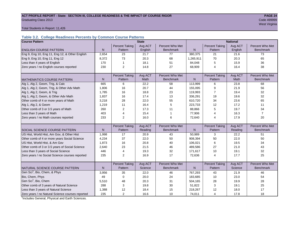## **ACT PROFILE REPORT - State: SECTION III, COLLEGE READINESS & THE IMPACT OF COURSE RIGOR PAGE 24** Code 4999999 **PAGE 24** Graduating Class 2013 Code 499999

west Virginia and the Community of the Community of the Community of the Community of the Community of the Comm

Total Students in Report: 11,426

## **Table 3.2. College Readiness Percents by Common Course Patterns**

| <b>Course Pattern</b>                            |              |                       | <b>State</b> |                  |              |                       | <b>National</b> |                  |
|--------------------------------------------------|--------------|-----------------------|--------------|------------------|--------------|-----------------------|-----------------|------------------|
|                                                  |              | <b>Percent Taking</b> | Avg ACT      | Percent Who Met  |              | <b>Percent Taking</b> | Avg ACT         | Percent Who Met  |
| <b>ENGLISH COURSE PATTERN</b>                    | $\mathsf{N}$ | Pattern               | English      | <b>Benchmark</b> | ${\sf N}$    | Pattern               | English         | <b>Benchmark</b> |
| Eng 9, Eng 10, Eng 11, Eng 12, & Other English   | 2,654        | 23                    | 21.7         | 77               | 380,375      | 21                    | 21.6            | 73               |
| Eng 9, Eng 10, Eng 11, Eng 12                    | 8,372        | 73                    | 20.3         | 68               | 1,265,911    | 70                    | 20.3            | 65               |
| Less than 4 years of English                     | 170          | $\mathbf{1}$          | 18.1         | 51               | 84,048       | 5                     | 15.9            | 36               |
| Zero years / no English courses reported         | 230          | 2                     | 14.8         | 27               | 68,909       | 4                     | 16.4            | 38               |
|                                                  |              |                       |              |                  |              |                       |                 |                  |
|                                                  |              | <b>Percent Taking</b> | Avg ACT      | Percent Who Met  |              | <b>Percent Taking</b> | Avg ACT         | Percent Who Met  |
| <b>MATHEMATICS COURSE PATTERN</b>                | $\mathsf{N}$ | Pattern               | Math         | <b>Benchmark</b> | $\mathsf{N}$ | Pattern               | Math            | <b>Benchmark</b> |
| Alg 1, Alg 2, Geom, Trig, & Calc                 | 665          | 6                     | 22.2         | 58               | 113,999      | 6                     | 23.8            | 68               |
| Alg 1, Alg 2, Geom, Trig, & Other Adv Math       | 1,806        | 16                    | 20.7         | 44               | 155,095      | 9                     | 21.9            | 56               |
| Alg 1, Alg 2, Geom, & Trig                       | 1,785        | 16                    | 18.8         | 23               | 119,993      | $\overline{7}$        | 19.4            | 32               |
| Alg 1, Alg 2, Geom, & Other Adv Math             | 1,837        | 16                    | 17.4         | 13               | 336,291      | 19                    | 19.6            | 32               |
| Other comb of 4 or more years of Math            | 3,218        | 28                    | 22.0         | 55               | 610,720      | 34                    | 23.6            | 65               |
| Alg 1, Alg 2, & Geom                             | 1,219        | 11                    | 16.4         | 5                | 223,733      | 12                    | 17.2            | 11               |
| Other comb of 3 or 3.5 years of Math             | 260          | 2                     | 17.3         | 11               | 88,866       | 5                     | 19.7            | 34               |
| Less than 3 years of Math                        | 403          | $\overline{4}$        | 15.4         | $\overline{1}$   | 77,906       | 4                     | 16.3            | $\overline{7}$   |
| Zero years / no Math courses reported            | 233          | $\overline{2}$        | 16.0         | 6                | 72,640       | 4                     | 17.9            | 20               |
|                                                  |              |                       |              |                  |              |                       |                 |                  |
|                                                  |              | <b>Percent Taking</b> | Avg ACT      | Percent Who Met  |              | <b>Percent Taking</b> | Avg ACT         | Percent Who Met  |
| <b>SOCIAL SCIENCE COURSE PATTERN</b>             | N            | Pattern               | Reading      | <b>Benchmark</b> | N            | Pattern               | Reading         | <b>Benchmark</b> |
| US Hist, World Hist, Am Gov, & Other Hist        | 1,998        | 17                    | 20.9         | 43               | 50,989       | 3                     | 22.2            | 51               |
| Other comb of 4 or more years Social Science     | 4,234        | 37                    | 22.0         | 50               | 908,394      | 50                    | 22.0            | 50               |
| US Hist, World Hist, & Am Gov                    | 1,873        | 16                    | 20.8         | 40               | 106,021      | 6                     | 19.5            | 34               |
| Other comb of 3 or 3.5 years of Social Science   | 2,640        | 23                    | 21.5         | 46               | 489.586      | 27                    | 21.0            | 43               |
| Less than 3 years of Social Science              | 446          | 4                     | 19.3         | 32               | 171,617      | 10                    | 19.1            | 32               |
| Zero years / no Social Science courses reported  | 235          | $\overline{2}$        | 16.9         | 17               | 72,636       | 4                     | 17.7            | 25               |
|                                                  |              |                       |              |                  |              |                       |                 |                  |
|                                                  |              | <b>Percent Taking</b> | Avg ACT      | Percent Who Met  |              | <b>Percent Taking</b> | Avg ACT         | Percent Who Met  |
| NATURAL SCIENCE COURSE PATTERN                   | N            | Pattern               | Science      | <b>Benchmark</b> | N            | Pattern               | Science         | <b>Benchmark</b> |
| Gen Sci <sup>1</sup> , Bio, Chem, & Phys         | 3,956        | 35                    | 22.0         | 46               | 767,293      | 43                    | 21.9            | 46               |
| Bio, Chem, Phys                                  | 49           | $\mathbf 0$           | 20.0         | 24               | 183,685      | 10                    | 23.0            | 54               |
| Gen Sci <sup>1</sup> , Bio, Chem                 | 5,510        | 48                    | 20.3         | 31               | 504,165      | 28                    | 19.9            | 28               |
| Other comb of 3 years of Natural Science         | 288          | 3                     | 19.8         | 30               | 51,822       | 3                     | 19.1            | 25               |
| Less than 3 years of Natural Science             | 1,388        | 12                    | 18.4         | 15               | 218,267      | 12                    | 18.0            | 17               |
| Zero years / no Natural Science courses reported | 235          | 2                     | 16.6         | 10               | 74,011       | $\overline{4}$        | 17.8            | 18               |

<sup>1</sup>Includes General, Physical and Earth Sciences.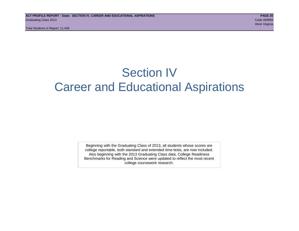Total Students in Report: 11,426

## Section IV Career and Educational Aspirations

Beginning with the Graduating Class of 2013, all students whose scores are college reportable, both standard and extended time tests, are now included. Also beginning with the 2013 Graduating Class data, College Readiness Benchmarks for Reading and Science were updated to reflect the most recent college coursework research.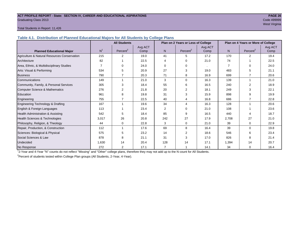## **ACT PROFILE REPORT - State: SECTION IV, CAREER AND EDUCATIONAL ASPIRATIONS PAGE 26** Graduating Class 2013 Code 499999

## west Virginia and the Community of the Community of the Community of the Community of the Community of the Comm

## Total Students in Report: 11,426

**Table 4.1. Distribution of Planned Educational Majors for All Students by College Plans**

|                                              |                | <b>All Students</b>  |         |          | Plan on 2 Years or Less of College |         |                | Plan on 4 Years or More of College |         |
|----------------------------------------------|----------------|----------------------|---------|----------|------------------------------------|---------|----------------|------------------------------------|---------|
|                                              |                |                      | Avg ACT |          |                                    | Avg ACT |                |                                    | Avg ACT |
| <b>Planned Educational Major</b>             | N <sup>1</sup> | Percent <sup>2</sup> | Comp    | N        | Percent <sup>2</sup>               | Comp    | N              | Percent <sup>2</sup>               | Comp    |
| Agriculture & Natural Resources Conservation | 215            | 2                    | 19.0    | 41       | 5                                  | 17.2    | 170            | 2                                  | 19.4    |
| Architecture                                 | 82             |                      | 22.5    | 4        | $\Omega$                           | 21.0    | 74             |                                    | 22.5    |
| Area, Ethnic, & Multidisciplinary Studies    | 7              | $\Omega$             | 24.0    | $\Omega$ | $\Omega$                           |         | $\overline{7}$ | $\Omega$                           | 24.0    |
| Arts: Visual & Performing                    | 534            | 5                    | 20.9    | 27       | 3                                  | 19.0    | 483            | 5                                  | 21.1    |
| <b>Business</b>                              | 790            |                      | 20.3    | 71       | 8                                  | 16.9    | 699            |                                    | 20.6    |
| Communications                               | 149            |                      | 21.0    | 3        | $\Omega$                           | 16.3    | 139            | 1                                  | 21.0    |
| Community, Family, & Personal Services       | 305            | 3                    | 18.4    | 55       | 6                                  | 16.5    | 240            | $\overline{2}$                     | 18.9    |
| <b>Computer Science &amp; Mathematics</b>    | 276            | 2                    | 21.8    | 20       | 2                                  | 18.1    | 249            | 3                                  | 22.1    |
| Education                                    | 961            | 8                    | 19.8    | 31       | 3                                  | 15.9    | 898            | 9                                  | 19.9    |
| Engineering                                  | 755            |                      | 22.5    | 40       |                                    | 16.8    | 686            |                                    | 22.8    |
| Engineering Technology & Drafting            | 167            |                      | 19.6    | 34       | 4                                  | 16.3    | 128            |                                    | 20.6    |
| English & Foreign Languages                  | 113            |                      | 23.4    | 2        | $\Omega$                           | 21.0    | 108            |                                    | 23.6    |
| Health Administration & Assisting            | 542            | 5                    | 18.4    | 85       | 9                                  | 16.5    | 440            | 4                                  | 18.7    |
| Health Sciences & Technologies               | 3,017          | 26                   | 20.8    | 242      | 27                                 | 17.9    | 2,708          | 27                                 | 21.0    |
| Philosophy, Religion, & Theology             | 44             | 0                    | 22.8    | 3        | 0                                  | 21.0    | 39             | $\Omega$                           | 22.9    |
| Repair, Production, & Construction           | 112            |                      | 17.6    | 69       | 8                                  | 16.4    | 39             | $\Omega$                           | 19.8    |
| Sciences: Biological & Physical              | 575            | 5                    | 23.2    | 14       | 2                                  | 18.6    | 546            | 6                                  | 23.4    |
| Social Sciences & Law                        | 878            | 8                    | 21.1    | 31       | 3                                  | 17.0    | 826            | 8                                  | 21.4    |
| Undecided                                    | 1,630          | 14                   | 20.4    | 128      | 14                                 | 17.1    | 1,394          | 14                                 | 20.7    |
| No Response                                  | 272            | $\overline{2}$       | 17.1    | 7        |                                    | 14.1    | 34             | $\Omega$                           | 16.4    |

1 2-Year and 4-Year "N" counts do not reflect "Missing" and "Other" college plans, therefore they may not add up to the N count for All Students.

<sup>2</sup> Percent of students tested within College Plan groups (All Students, 2-Year, 4-Year).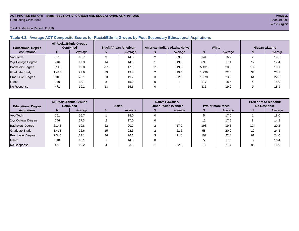## **ACT PROFILE REPORT - State: SECTION IV, CAREER AND EDUCATIONAL ASPIRATIONS PAGE 27** Graduating Class 2013 Code 499999

Total Students in Report: 11,426

## **Table 4.2. Average ACT Composite Scores for Racial/Ethnic Groups by Post-Secondary Educational Aspirations**

| <b>Educational Degree</b> |       | <b>All Racial/Ethnic Groups</b><br><b>Combined</b> |     | <b>Black/African American</b> |    | American Indian/ Alaska Native |       | White   | Hispanic/Latino |         |  |
|---------------------------|-------|----------------------------------------------------|-----|-------------------------------|----|--------------------------------|-------|---------|-----------------|---------|--|
| <b>Aspirations</b>        | N     | Average                                            | N.  | Average                       | N. | Average                        | N     | Average | N               | Average |  |
| Voc-Tech                  | 161   | 16.7                                               |     | 14.8                          |    | 23.0                           | 141   | 16.7    |                 | 19.5    |  |
| 2-yr College Degree       | 746   | 17.3                                               | 14  | 14.6                          |    | 19.0                           | 698   | 17.4    | 12              | 17.4    |  |
| <b>Bachelors Degree</b>   | 6.145 | 19.8                                               | 251 | 17.0                          |    | 19.5                           | 5,431 | 20.0    | 106             | 19.1    |  |
| <b>Graduate Study</b>     | 1.418 | 22.6                                               | 39  | 19.4                          |    | 19.0                           | 1,239 | 22.8    | 34              | 23.1    |  |
| Prof. Level Degree        | 2,345 | 23.1                                               | 83  | 19.7                          |    | 22.0                           | 1,978 | 23.2    | 64              | 22.6    |  |
| Other                     | 140   | 18.1                                               | 8   | 15.0                          |    |                                | 117   | 18.5    |                 | 15.0    |  |
| No Response               | 471   | 19.2                                               | 18  | 15.6                          |    |                                | 335   | 19.9    |                 | 18.9    |  |

| <b>All Racial/Ethnic Groups</b><br><b>Combined</b><br><b>Educational Degree</b> |       | Asian   |    |         | Native Hawaiian/<br><b>Other Pacific Islander</b> |         | Two or more races | Prefer not to respond/<br><b>No Response</b> |     |         |
|---------------------------------------------------------------------------------|-------|---------|----|---------|---------------------------------------------------|---------|-------------------|----------------------------------------------|-----|---------|
| <b>Aspirations</b>                                                              | N     | Average | N. | Average | N.                                                | Average | N.                | Average                                      | N.  | Average |
| Voc-Tech                                                                        | 161   | 16.7    |    | 15.0    |                                                   |         |                   | 17.0                                         |     | 18.0    |
| 2-yr College Degree                                                             | 746   | 17.3    |    | 17.0    |                                                   |         |                   | 17.5                                         |     | 14.8    |
| <b>Bachelors Degree</b>                                                         | 6,145 | 19.8    | 22 | 20.2    |                                                   | 17.0    | 198               | 19.3                                         | 124 | 20.2    |
| <b>Graduate Study</b>                                                           | 1,418 | 22.6    | 15 | 22.3    |                                                   | 21.5    | 58                | 20.9                                         | 29  | 24.3    |
| Prof. Level Degree                                                              | 2,345 | 23.1    | 46 | 26.1    |                                                   | 21.0    | 107               | 22.8                                         | 61  | 24.0    |
| Other                                                                           | 140   | 18.1    |    | 14.0    |                                                   |         |                   | 17.6                                         |     | 16.4    |
| No Response                                                                     | 471   | 19.2    |    | 23.8    |                                                   | 22.0    | 18                | 21.4                                         | 86  | 16.9    |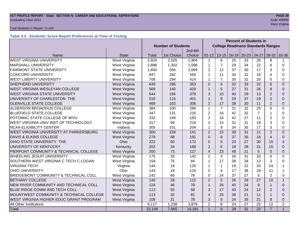## **ACT PROFILE REPORT - State: SECTION IV, CAREER AND EDUCATIONAL ASPIRATIONS** *PAGE 28***<br>Graduating Class 2013 <b>Code 4999999** Graduating Class 2013 Code 499999

## Total Students in Report: 11,426

## **Table 4.3. Students' Score Report Preferences at Time of Testing**

|                                                          |               | <b>Percent of Students in</b> |            |         |                         |                                           |           |           |                 |                |                |  |
|----------------------------------------------------------|---------------|-------------------------------|------------|---------|-------------------------|-------------------------------------------|-----------|-----------|-----------------|----------------|----------------|--|
|                                                          |               | <b>Number of Students</b>     |            |         |                         | <b>College Readiness Standards Ranges</b> |           |           |                 |                |                |  |
|                                                          |               |                               |            | 2nd-6th |                         |                                           |           |           |                 |                |                |  |
| Name                                                     | <b>State</b>  | Total                         | 1st Choice | Choice  | $01 - 12$               | $13 - 15$                                 | $16 - 19$ | $20 - 23$ | 24-27           | $28 - 32$      | 33-36          |  |
| <b>WEST VIRGINIA UNIVERSITY</b>                          | West Virginia | 3,929                         | 2,025      | 1,904   | 1                       | 6                                         | 25        | 33        | 26              | 8              |                |  |
| <b>MARSHALL UNIVERSITY</b>                               | West Virginia | 2,898                         | 1,302      | 1,596   | 1                       | $\overline{7}$                            | 29        | 34        | 22              | 6              | $\Omega$       |  |
| <b>FAIRMONT STATE UNIVERSITY</b>                         | West Virginia | 1,650                         | 556        | 1,094   | $\overline{2}$          | 12                                        | 37        | 30        | 17              | 3              | 0              |  |
| <b>CONCORD UNIVERSITY</b>                                | West Virginia | 847                           | 292        | 555     | 1                       | 11                                        | 34        | 32        | 18              | $\overline{4}$ | 0              |  |
| <b>WEST LIBERTY UNIVERSITY</b>                           | West Virginia | 708                           | 294        | 414     | 1                       | $\overline{7}$                            | 35        | 32        | 20              | 5              | 0              |  |
| <b>SHEPHERD UNIVERSITY</b>                               | West Virginia | 649                           | 286        | 363     | $\Omega$                | 6                                         | 32        | 33        | 22              | 6              | $\Omega$       |  |
| <b>WEST VIRGINIA WESLEYAN COLLEGE</b>                    | West Virginia | 569                           | 140        | 429     | $\overline{1}$          | 5                                         | 27        | 31        | 28              | 8              | $\Omega$       |  |
| <b>WEST VIRGINIA STATE UNIVERSITY</b>                    | West Virginia | 544                           | 166        | 378     | 3                       | 15                                        | 40        | 29        | 13              | $\overline{2}$ | $\Omega$       |  |
| UNIVERSITY OF CHARLESTON THE                             | West Virginia | 516                           | 115        | 401     |                         | 9                                         | 29        | 37        | 19              | 5              | $\Omega$       |  |
| <b>GLENVILLE STATE COLLEGE</b>                           | West Virginia | 469                           | 163        | 306     | $\overline{2}$          | 17                                        | 38        | 30        | 11              | $\overline{2}$ | $\Omega$       |  |
| ALDERSON BROADDUS COLLEGE                                | West Virginia | 384                           | 100        | 284     | 1                       | $\overline{7}$                            | 31        | 32        | 25              | 5              | 0              |  |
| <b>BLUEFIELD STATE COLLEGE</b>                           | West Virginia | 347                           | 131        | 216     | $\overline{2}$          | 16                                        | 42        | 32        | $\overline{7}$  |                | 0              |  |
| POTOMAC STATE COLLEGE OF WVU                             | West Virginia | 332                           | 149        | 183     | $\overline{2}$          | 16                                        | 42        | 27        | 11              | $\overline{2}$ | $\Omega$       |  |
| WEST VIRGINIA UNIV INST OF TECHNOLOGY                    | West Virginia | 317                           | 99         | 218     | $\overline{2}$          | 15                                        | 31        | 31        | 18              | 3              | 0              |  |
| <b>NCAA ELIGIBILITY CENTER</b>                           | Indiana       | 305                           | 101        | 204     | 1                       | 9                                         | 34        | 35        | 17              | 3              | $\Omega$       |  |
| WEST VIRGINIA UNIVERSITY AT PARKERSBURG                  | West Virginia | 300                           | 159        | 141     | $\overline{2}$          | 15                                        | 39        | 31        | 11              | $\overline{2}$ | $\Omega$       |  |
| <b>DAVIS &amp; ELKINS COLLEGE</b>                        | West Virginia | 279                           | 88         | 191     | $\overline{0}$          | 8                                         | 37        | 35        | 16              | $\overline{4}$ | $\Omega$       |  |
| OHIO STATE UNIVERSITY THE                                | Ohio          | 222                           | 50         | 172     | $\Omega$                | 5                                         | 20        | 27        | 30              | 15             | 3              |  |
| UNIVERSITY OF KENTUCKY                                   | Kentucky      | 202                           | 34         | 168     | $\overline{2}$          | 6                                         | 18        | 28        | 31              | 15             | $\Omega$       |  |
| PIERPONT COMMUNITY & TECHNICAL COLLEGE                   | West Virginia | 200                           | 73         | 127     | $\overline{4}$          | 23                                        | 48        | 21        | 6               | $\overline{0}$ | $\Omega$       |  |
| WHEELING JESUIT UNIVERSITY                               | West Virginia | 175                           | 33         | 142     | $\overline{2}$          | 3                                         | 26        | 31        | 33              | 6              | $\Omega$       |  |
| SOUTHERN WEST VIRGINIA C TECH C-LOGAN                    | West Virginia | 159                           | 75         | 84      | 1                       | 17                                        | 38        | 28        | 13              | 3              | 0              |  |
| <b>VIRGINIA TECH</b>                                     | Virginia      | 144                           | 19         | 125     | 1                       | $\mathbf{1}$                              | 19        | 22        | 33              | 24             |                |  |
| <b>OHIO UNIVERSITY</b>                                   | Ohio          | 143                           | 19         | 124     | $\Omega$                | 6                                         | 17        | 36        | 29              | 11             | 1              |  |
| BRIDGEMONT COMMUNITY & TECHNICAL COLL                    | West Virginia | 142                           | 66         | 76      | 5                       | 24                                        | 37        | 27        | 5               | $\overline{2}$ | $\Omega$       |  |
| <b>BETHANY COLLEGE</b>                                   | West Virginia | 140                           | 28         | 112     | $\overline{2}$          | 5                                         | 26        | 29        | 27              | 10             | $\mathbf{1}$   |  |
| NEW RIVER COMMUNITY AND TECHNICAL COLL                   | West Virginia | 124                           | 46         | 78      |                         | 26                                        | 40        | 24        | 9               |                | $\Omega$       |  |
| BLUE RIDGE COMM AND TECH COLL                            | West Virginia | 113                           | 55         | 58      | 3                       | 17                                        | 43        | 24        | 12              | $\overline{2}$ | $\Omega$       |  |
| MOUNTWEST COMMUNITY & TECHNICAL COLLEGE<br>West Virginia |               | 113                           | 32         | 81      | $\overline{\mathbf{4}}$ | 25                                        | 38        | 21        | 11              |                | $\Omega$       |  |
| WEST VIRGINIA HIGHER EDUC GRANT PROGRAM                  | West Virginia | 109                           | 31         | 78      | 3                       | 9                                         | 24        | 35        | 21              | 8              | $\Omega$       |  |
| All Other Institutions                                   |               | 5,117                         | 1,238      | 3,879   | $\overline{2}$          | 8                                         | 24        | 27        | 25              | 12             | $\overline{2}$ |  |
| Total                                                    |               | 22,146                        | 7,965      | 14,181  | $\overline{1}$          | 9                                         | 29        | 31        | $\overline{22}$ | $\overline{7}$ | $\mathbf{1}$   |  |

west Virginia and the Community of the Community of the Community of the Community of the Community of the Comm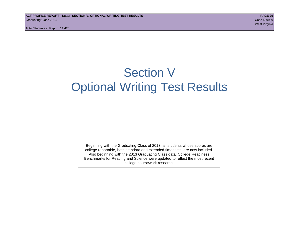## Section V Optional Writing Test Results

Beginning with the Graduating Class of 2013, all students whose scores are college reportable, both standard and extended time tests, are now included. Also beginning with the 2013 Graduating Class data, College Readiness Benchmarks for Reading and Science were updated to reflect the most recent college coursework research.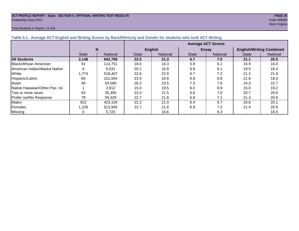## **ACT PROFILE REPORT - State: SECTION V, OPTIONAL WRITING TEST RESULTS PAGE 30** Graduating Class 2013 Code 499999

## Total Students in Report: 11,426

west Virginia and the Community of the Community of the Community of the Community of the Community of the Comm

| Lable vill Average AVT English and Whang Occits by Nace/Editionly and Ochael for Stadents who took AVT Whang |                           |                 |              |                 |              |                 |                                 |          |  |  |  |
|--------------------------------------------------------------------------------------------------------------|---------------------------|-----------------|--------------|-----------------|--------------|-----------------|---------------------------------|----------|--|--|--|
|                                                                                                              | <b>Average ACT Scores</b> |                 |              |                 |              |                 |                                 |          |  |  |  |
|                                                                                                              | N                         |                 |              | <b>English</b>  |              | <b>Essay</b>    | <b>English/Writing Combined</b> |          |  |  |  |
|                                                                                                              | <b>State</b>              | <b>National</b> | <b>State</b> | <b>National</b> | <b>State</b> | <b>National</b> | <b>State</b>                    | National |  |  |  |
| <b>All Students</b>                                                                                          | 2,148                     | 942,769         | 22.5         | 21.3            | 6.7          | 7.0             | 21.1                            | 20.5     |  |  |  |
| Black/African American                                                                                       | 91                        | 114.751         | 18.0         | 16.3            | 5.8          | 6.1             | 16.9                            | 16.0     |  |  |  |
| American Indian/Alaska Native                                                                                | 6                         | 6.031           | 20.2         | 16.8            | 6.8          | 6.1             | 19.5                            | 16.4     |  |  |  |
| White                                                                                                        | 1,774                     | 518.407         | 22.6         | 22.9            | 6.7          | 7.2             | 21.2                            | 21.9     |  |  |  |
| Hispanic/Latino                                                                                              | 65                        | 151,504         | 23.4         | 18.6            | 6.8          | 6.8             | 21.8                            | 18.3     |  |  |  |
| Asian                                                                                                        | 40                        | 54,580          | 26.2         | 23.5            | 7.3          | 7.6             | 24.3                            | 22.7     |  |  |  |
| Native Hawaiian/Other Pac. Isl.                                                                              |                           | 2.812           | 15.0         | 19.5            | 6.0          | 6.9             | 15.0                            | 19.2     |  |  |  |
| Two or more races                                                                                            | 93                        | 35,355          | 22.0         | 21.5            | 6.6          | 7.0             | 20.7                            | 20.6     |  |  |  |
| Prefer not/No Response                                                                                       | 78                        | 59,329          | 22.7         | 21.8            | 6.8          | 7.1             | 21.3                            | 20.9     |  |  |  |
| Males                                                                                                        | 922                       | 423,104         | 22.2         | 21.0            | 6.4          | 6.7             | 20.6                            | 20.1     |  |  |  |
| Females                                                                                                      | 1,226                     | 513,945         | 22.7         | 21.6            | 6.9          | 7.2             | 21.4                            | 20.9     |  |  |  |
| <b>Missing</b>                                                                                               |                           | 5,720           |              | 16.6            |              | 6.3             |                                 | 16.5     |  |  |  |

## **Table 5.1. Average ACT English and Writing Scores by Race/Ethnicity and Gender for students who took ACT Writing**